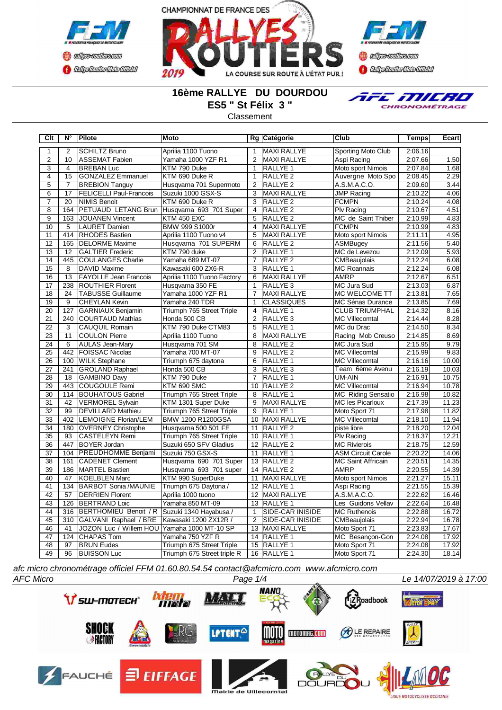





## **16ème RALLYE DU DOURDOU ES5 " St Félix 3 "**

**Classement** 



**Clt N° Pilote Moto Rg Catégorie Club Temps Ecart** 1 2 SCHILTZ Bruno Aprilia 1100 Tuono 1 MAXI RALLYE Sporting Moto Club 2:06.16 2 10 ASSEMAT Fabien Yamaha 1000 YZF R1 2 MAXI RALLYE Aspi Racing 2:07.66 1.50 3 4 BREBAN Luc KTM 790 Duke 1 RALLYE 1 Moto sport Nimois 2:07.84 1.68 4 15 GONZALEZ Emmanuel KTM 690 Duke R 1 RALLYE 2 Auvergne Moto Spo 2:08.45 2.29<br>5 7 BREBION Tanguy Husqvarna 701 Supermoto 2 RALLYE 2 A.S.M.A.C.O. 2:09.60 3.44 5 7 BREBION Tanguy Husqvarna 701 Supermoto 2 RALLYE 2 A.S.M.A.C.O. 2:09.60 3.44<br>6 1 17 FELICELLI Paul-Francois Suzuki 1000 GSX-S 3 MAXI RALLYE JJMP Racing 2:10.22 4.06 6 17 FELICELLI Paul-Francois Suzuki 1000 GSX-S 3 MAXI RALLYE JMP Racing 2:10.22 4.06 7 20 NIMIS Benoit KTM 690 Duke R 3 RALLYE 2 FCMPN 2:10.24 4.08<br>8 164 PETUAUD LETANG Brun Husqvarna 693 701 Super 4 RALLYE 2 PIv Racing 2:10.67 4.51 8 164 PETUAUD LETANG Brun Husqvarna 693 701 Super 4 RALLYE 2 Plv Racing 2:10.67 4.51<br>9 163 JOUANEN Vincent KTM 450 EXC 5 RALLYE 2 MC de Saint Thiber 2:10.99 4.83 MC de Saint Thiber 10 5 LAURET Damien BMW 999 S1000r 4 MAXI RALLYE FCMPN 2:10.99 4.83<br>11 414 RHODES Bastien Aprilia 1100 Tuono v4 5 MAXI RALLYE Moto sport Nimois 2:11.11 4.95 114 RHODES Bastien Aprilia 1100 Tuono v4 5 MAXI RALLYE Moto sport Nimois<br>165 IDELORME Maxime Husqvarna 701 SUPERM 6 RALLYE 2 ASMBugey 12 165 DELORME Maxime Husqvarna 701 SUPERM 6 RALLYE 2 ASMBugey 2:11.56 5.40<br>13 12 GALTIER Frederic KTM 790 duke 2 RALLYE 1 MC de Levezou 2:12.09 5.93 13 12 GALTIER Frederic KTM 790 duke 2 RALLYE 1 MC de Levezou 2:12.09 14 445 COULANGES Charlie Yamaha 689 MT-07 7 RALLYE 2 CMBeaujolais 2:12.24 6.08 15 8 DAVID Maxime Kawasaki 600 ZX6-R 3 RALLYE 1 MC Roannais 2:12.24 6.08 16 | 13 FAYOLLE Jean Francois | Aprilia 1100 Tuono Factory | 6 | MAXI RALLYE | AMRP | 2:12.67 | 6.51 17 238 ROUTHIER Florent Husqvarna 350 FE 1 RALLYE 3 MC Jura Sud 2:13.03 6.87<br>18 24 TABUSSE Guillaume Yamaha 1000 YZF R1 7 MAXI RALLYE MC WELCOME TT 2:13.81 7.65 18 24 TABUSSE Guillaume Yamaha 1000 YZF R1 7 MAXI RALLYE MC WELCOME TT 2:13.81 7.65 19 9 CHEYLAN Kevin Yamaha 240 TDR 1 CLASSIQUES MC Sénas Durance 2:13.85 7.69 **Triumph 765 Street Triple** 21 240 COURTAUD Mathias Honda 500 CB 2 RALLYE 3 MC Villecomtal 2:14.44 8.28<br>22 3 CAUQUIL Romain KTM 790 Duke CTM83 5 RALLYE 1 MC du Drac 2:14.50 8.34 22 3 CAUQUIL Romain KTM 790 Duke CTM83 5 RALLYE 1 MC du Drac 2:14.50 8.34 23 11 COULON Pierre Aprilia 1100 Tuono 8 MAXI RALLYE Racing Mob Creuso 2:14.85 8.69 24 6 AULAS Jean-Mary Husqvarna 701 SM 8 RALLYE 2 MC Jura Sud<br>22 FOISSAC Nicolas Yamaha 700 MT-07 9 RALLYE 2 MC Villecomtal 25 442 FOISSAC Nicolas Yamaha 700 MT-07 9 RALLYE 2 MC Villecomtal 2:15.99 9.83 100 WILK Stephane Triumph 675 daytona 6 27 241 GROLAND Raphael Honda 500 CB 3 RALLYE 3 Team 6ème Avenu 2:16.19 10.03 28 18 GAMBINO Davy KTM 790 Duke 7 RALLYE 1 UM-AIN 2:16.91 10.75<br>29 443 COUGOULE Remi KTM 690 SMC 10 RALLYE 2 MC Villecomtal 2:16.94 10.78 29 443 COUGOULE Remi KTM 690 SMC 10 RALLYE 2 MC Villecomtal 2:16.94 10.78 30 114 BOUHATOUS Gabriel Triumph 765 Street Triple 8 RALLYE 1 MC Riding Sensatio 2:16.98 10.82 31 42 VERMOREL Sylvain KTM 1301 Super Duke 9 MAXI RALLYE MC les Picarloux 2:17.39 11.23 32 99 DEVILLARD Mathieu Triumph 765 Street Triple 9 RALLYE 1 Moto Sport 71 2:17.98 11.82 LEMOIGNE Florian/LEM 34 180 OVERNEY Christophe Husqvarna 500 501 FE 11 RALLYE 2 piste libre 2:18.20 12.04 35 93 CASTELEYN Remi Triumph 765 Street Triple 10 RALLYE 1 Plv Racing 2:18.37 12.21 36 447 BOYER Jordan Suzuki 650 SFV Gladius 12 RALLYE 2 MC Rivierois 2:18.75 12.59 104 PREUDHOMME Benjami Suzuki 750 GSX-S 11 38 161 CADENET Clement Husqvarna 690 701 Super 13 RALLYE 2 MC Saint Affricain 2:20.51 14.35 39 186 MARTEL Bastien Husqvarna 693 701 super 14 RALLYE 2 AMRP 2:20.55 14.39 40 47 KOELBLEN Marc KTM 990 SuperDuke 11 MAXI RALLYE Moto sport Nimois 2:21.27 15.11 41 134 BARBOT Sonia /MAUNIE Triumph 675 Daytona / 12 RALLYE 1 Aspi Racing 2:21.55 15.39 42 57 DERRIEN Florent Aprilia 1000 tuono 12 MAXI RALLYE A.S.M.A.C.O. 2:22.62 16.46 43 | 126 BERTRAND Loic | Yamaha 850 MT-09 | 13 | RALLYE 1 | Les Guidons Vellav | 2:22.64 | 16.48<br>44 | 316 | BERTHOMIEU Benoit / R | Suzuki 1340 Hayabusa / | 1 | SIDE-CAR INISIDE | MC Ruthenois | 2:22.88 | 16.72 44 31 BERTHOMIEU Benoit / R Suzuki 1340 Hayabusa / 1 SIDE-CAR INISIDE MC Ruthenois 2:22.88<br>1951 GALVANI Raphael / BRE Kawasaki 1200 ZX12R / 2 SIDE-CAR INISIDE CMBeaujolais 2:22.94 45 310 GALVANI Raphael / BRE Kawasaki 1200 ZX12R / 2 SIDE-CAR INISIDE CMBeaujolais 2:22.94 16.78 46 41 JOZON Luc / Willem HOU Yamaha 1000 MT-10 SP 47 124 CHAPAS Tom Yamaha 750 YZF R 14 RALLYE 1 MC Besançon-Gon 2:24.08 17.92 97 BRUN Eudes Triumph 675 Street Triple 15 RALLYE 1 Moto Sport 71 2:24.08 49 96 BUISSON Luc Triumph 675 Street triple R 16 RALLYE 1 Moto Sport 71 2:24.30 18.14

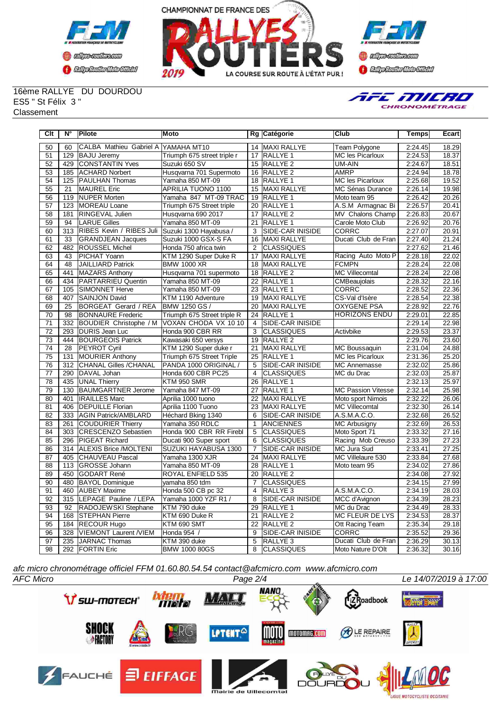



**Confederation Complementation** 

16ème RALLYE DU DOURDOU ES5 " St Félix 3 " **Classement** 



| Clt             | $N^{\circ}$      | <b>Pilote</b>                       | Moto                        |                 | Rg Catégorie            | Club                      | Temps   | Ecart              |
|-----------------|------------------|-------------------------------------|-----------------------------|-----------------|-------------------------|---------------------------|---------|--------------------|
| 50              | 60               | CALBA Mathieu Gabriel A YAMAHA MT10 |                             |                 | 14 MAXI RALLYE          | Team Polygone             | 2:24.45 | 18.29              |
| 51              | 129              | <b>BAJU Jeremy</b>                  | Triumph 675 street triple r | 17              | <b>RALLYE 1</b>         | <b>MC les Picarloux</b>   | 2:24.53 | 18.37              |
| 52              | 429              | <b>CONSTANTIN Yves</b>              | Suzuki 650 SV               |                 | 15 RALLYE 2             | UM-AIN                    | 2:24.67 | 18.51              |
| 53              | 185              | <b>ACHARD Norbert</b>               | Husqvarna 701 Supermoto     | 16              | RALLYE <sub>2</sub>     | AMRP                      | 2:24.94 | 18.78              |
| 54              | 125              | <b>PAULHAN Thomas</b>               | Yamaha 850 MT-09            | 18              | RALLYE 1                | MC les Picarloux          | 2:25.68 | 19.52              |
| 55              | 21               | MAUREL Eric                         | APRILIA TUONO 1100          | 15              | <b>MAXI RALLYE</b>      | MC Sénas Durance          | 2:26.14 | 19.98              |
| 56              | 119              | <b>NUPER Morten</b>                 | Yamaha 847 MT-09 TRAC       | 19              | <b>RALLYE 1</b>         | Moto team 95              | 2:26.42 | 20.26              |
| 57              | 123              | MOREAU Loane                        | Triumph 675 Street triple   | 20              | <b>RALLYE 1</b>         | A.S.M Armagnac Bi         | 2:26.57 | 20.41              |
| $\overline{58}$ | 181              | <b>RINGEVAL Julien</b>              | Husgyarna 690 2017          | 17              | <b>RALLYE 2</b>         | MV Chalons Champ          | 2:26.83 | 20.67              |
| 59              | 94               | <b>LARUE Gilles</b>                 | Yamaha 850 MT-09            | $\overline{21}$ | <b>RALLYE 1</b>         | Carole Moto Club          | 2:26.92 | 20.76              |
| 60              | $\overline{313}$ | RIBES Kevin / RIBES Juli            | Suzuki 1300 Hayabusa /      | 3               | <b>SIDE-CAR INISIDE</b> | <b>CORRC</b>              | 2:27.07 | 20.91              |
| 61              | 33               | <b>GRANDJEAN Jacques</b>            | Suzuki 1000 GSX-S FA        | 16              | <b>MAXI RALLYE</b>      | Ducati Club de Fran       | 2:27.40 | 21.24              |
| 62              | 482              | <b>ROUSSEL Michel</b>               | Honda 750 africa twin       | 2               | <b>CLASSIQUES</b>       |                           | 2:27.62 | 21.46              |
| 63              | 43               | <b>PICHAT Yoann</b>                 | KTM 1290 Super Duke R       | 17              | <b>MAXI RALLYE</b>      | Racing Auto Moto P        | 2:28.18 | 22.02              |
| 64              | 48               | JAILLIARD Patrick                   | <b>BMW 1000 XR</b>          | 18              | MAXI RALLYE             | <b>FCMPN</b>              | 2:28.24 | 22.08              |
| 65              | 441              | MAZARS Anthony                      | Husqvarna 701 supermoto     | 18              | RALLYE <sub>2</sub>     | <b>MC Villecomtal</b>     | 2:28.24 | 22.08              |
| 66              | 434              | PARTARRIEU Quentin                  | Yamaha 850 MT-09            | 22              | RALLYE 1                | CMBeaujolais              | 2:28.32 | 22.16              |
| 67              | 105              | <b>SIMONNET Herve</b>               | Yamaha 850 MT-09            | 23              | <b>RALLYE 1</b>         | <b>CORRC</b>              | 2:28.52 | 22.36              |
| 68              | 407              | <b>SAINJON David</b>                | KTM 1190 Adventure          | 19              | MAXI RALLYE             | CS-Val d'Isère            | 2:28.54 | 22.38              |
| 69              | 25               | BORGEAT Gerard / REA                | <b>BMW 1250 GS /</b>        | 20              | MAXI RALLYE             | <b>OXYGENE PSA</b>        | 2:28.92 | 22.76              |
| 70              | 98               | <b>BONNAURE</b> Frederic            | Triumph 675 Street triple R | 24              | RALLYE 1                | <b>HORIZONS ENDU</b>      | 2:29.01 | 22.85              |
| 71              | 332              | BOUDIER Christophe / M              | VOXAN CHODA VX 1010         | $\overline{4}$  | SIDE-CAR INISIDE        |                           | 2:29.14 | 22.98              |
| 72              | 293              | DURIS Jean Luc                      | Honda 900 CBR RR            | 3               | <b>CLASSIQUES</b>       | Activbike                 | 2:29.53 | 23.37              |
| 73              | 444              | <b>BOURGEOIS Patrick</b>            | Kawasaki 650 versys         | 19              | <b>RALLYE 2</b>         |                           | 2:29.76 | 23.60              |
| $\overline{74}$ | $\overline{28}$  | <b>PEYROT Cyril</b>                 | KTM 1290 Super duke r       | 21              | <b>MAXI RALLYE</b>      | <b>MC Boussaquin</b>      | 2:31.04 | 24.88              |
| 75              | 131              | <b>MOURIER Anthony</b>              | Triumph 675 Street Triple   | 25              | RALLYE 1                | <b>MC les Picarloux</b>   | 2:31.36 | 25.20              |
| $\overline{76}$ | $\overline{312}$ | <b>CHANAL Gilles /CHANAL</b>        | PANDA 1000 ORIGINAL /       | 5               | <b>SIDE-CAR INISIDE</b> | <b>MC Annemasse</b>       | 2:32.02 | 25.86              |
| $\overline{77}$ | 290              | DAVAL Johan                         | Honda 600 CBR PC25          | $\overline{4}$  | <b>CLASSIQUES</b>       | MC du Drac                | 2:32.03 | 25.87              |
| $\overline{78}$ |                  | 435 UNAL Thierry                    | KTM 950 SMR                 | 26              | <b>RALLYE 1</b>         |                           | 2:32.13 | 25.97              |
| 79              | 130              | <b>BAUMGARTNER Jerome</b>           | Yamaha 847 MT-09            | 27              | <b>RALLYE 1</b>         | <b>MC Passion Vitesse</b> | 2:32.14 | 25.98              |
| 80              | 401              | <b>IRAILLES Marc</b>                | Aprilia 1000 tuono          | 22              | <b>MAXI RALLYE</b>      | Moto sport Nimois         | 2:32.22 | 26.06              |
| $\overline{81}$ | 406              | <b>DEPUILLE Florian</b>             | Aprilia 1100 Tuono          | 23              | MAXI RALLYE             | <b>MC Villecomtal</b>     | 2:32.30 | 26.14              |
| 82              | $\overline{333}$ | <b>AGIN Patrick/AMBLARD</b>         | Héchard Bking 1340          | 6               | <b>SIDE-CAR INISIDE</b> | A.S.M.A.C.O.              | 2:32.68 | 26.52              |
| 83              | 261              | <b>COUDURIER Thierry</b>            | Yamaha 350 RDLC             | 1               | <b>ANCIENNES</b>        | <b>MC Arbusigny</b>       | 2:32.69 | 26.53              |
| 84              | 303              | <b>CRESCENZO Sebastien</b>          | Honda 900 CBR RR Firebl     | 5               | <b>CLASSIQUES</b>       | Moto Sport 71             | 2:33.32 | 27.16              |
| 85              | 296              | <b>PIGEAT Richard</b>               | Ducati 900 Super sport      | 6               | <b>CLASSIQUES</b>       | Racing Mob Creuso         | 2:33.39 | $\overline{27.23}$ |
| 86              | 314              | ALEXIS Brice /MOLTENI               | SUZUKI HAYABUSA 1300        | 7               | <b>SIDE-CAR INISIDE</b> | <b>MC Jura Sud</b>        | 2:33.41 | 27.25              |
| 87              | 405              | <b>CHAUVEAU Pascal</b>              | Yamaha 1300 XJR             | 24              | <b>MAXI RALLYE</b>      | MC Villelaure 530         | 2:33.84 | 27.68              |
| 88              | 113              | GROSSE Johann                       | Yamaha 850 MT-09            | 28              | RALLYE 1                | Moto team 95              | 2:34.02 | 27.86              |
| 89              | 450              | GODART René                         | ROYAL ENFIELD 535           | 20              | RALLYE <sub>2</sub>     |                           | 2:34.08 | 27.92              |
| 90              | 480              | <b>BAYOL Dominique</b>              | yamaha 850 tdm              | $\overline{7}$  | <b>CLASSIQUES</b>       |                           | 2:34.15 | 27.99              |
| 91              |                  | 460 AUBEY Maxime                    | Honda 500 CB pc 32          | 4               | RALLYE <sub>3</sub>     | A.S.M.A.C.O.              | 2:34.19 | 28.03              |
| $\overline{92}$ | 315              | LEPAGE Pauline / LEPA               | Yamaha 1000 YZF R1 /        | 8               | SIDE-CAR INISIDE        | MCC d'Avignon             | 2:34.39 | 28.23              |
| 93              | 92               | RADOJEWSKI Stephane                 | KTM 790 duke                | 29              | <b>RALLYE 1</b>         | MC du Drac                | 2:34.49 | 28.33              |
| 94              | 168              | <b>STEPHAN Pierre</b>               | KTM 690 Duke R              | 21              | RALLYE <sub>2</sub>     | <b>MC FLEUR DE LYS</b>    | 2:34.53 | 28.37              |
| 95              | 184              | <b>RECOUR Hugo</b>                  | KTM 690 SMT                 | 22              | <b>RALLYE 2</b>         | Ott Racing Team           | 2:35.34 | 29.18              |
| 96              | $\overline{328}$ | VIEMONT Laurent /VIEM               | Honda 954 /                 | 9               | <b>SIDE-CAR INISIDE</b> | CORRC                     | 2:35.52 | 29.36              |
| 97              |                  | 235 JJARNAC Thomas                  | KTM 390 duke                | $\overline{5}$  | <b>RALLYE 3</b>         | Ducati Club de Fran       | 2:36.29 | 30.13              |
| 98              |                  | 292 FORTIN Eric                     | <b>BMW 1000 80GS</b>        | 8               | <b>CLASSIQUES</b>       | Moto Nature D'Olt         | 2:36.32 | 30.16              |

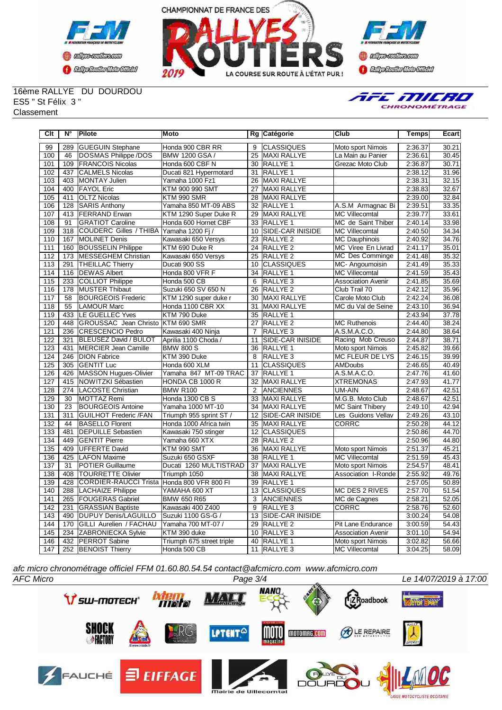





16ème RALLYE DU DOURDOU ES5 " St Félix 3 " **Classement** 



| Clt | $N^{\circ}$ | Pilote                                      | Moto                      |                 | Rg Catégorie            | Club                      | <b>Temps</b> | Ecart              |
|-----|-------------|---------------------------------------------|---------------------------|-----------------|-------------------------|---------------------------|--------------|--------------------|
| 99  | 289         | <b>GUEGUIN Stephane</b>                     | Honda 900 CBR RR          | 9               | <b>ICLASSIQUES</b>      | Moto sport Nimois         | 2:36.37      | 30.21              |
| 100 | 46          | DOSMAS Philippe /DOS                        | BMW 1200 GSA /            | 25              | <b>MAXI RALLYE</b>      | La Main au Panier         | 2:36.61      | 30.45              |
| 101 | 109         | <b>FRANCOIS Nicolas</b>                     | Honda 600 CBF N           | 30              | <b>RALLYE 1</b>         | Grezac Moto Club          | 2:36.87      | 30.71              |
| 102 | 437         | <b>CALMELS Nicolas</b>                      | Ducati 821 Hypermotard    | 31              | <b>IRALLYE 1</b>        |                           | 2:38.12      | 31.96              |
| 103 | 403         | <b>MONTAY Julien</b>                        | Yamaha 1000 Fz1           | 26              | <b>MAXI RALLYE</b>      |                           | 2:38.31      | 32.15              |
| 104 | 400         | <b>FAYOL</b> Eric                           | KTM 900 990 SMT           | 27              | <b>MAXI RALLYE</b>      |                           | 2:38.83      | 32.67              |
| 105 | 411         | <b>OLTZ Nicolas</b>                         | KTM 990 SMR               | 28              | <b>MAXI RALLYE</b>      |                           | 2:39.00      | 32.84              |
| 106 | 128         | <b>SARIS Anthony</b>                        | Yamaha 850 MT-09 ABS      | 32              | <b>RALLYE 1</b>         | A.S.M Armagnac Bi         | 2:39.51      | 33.35              |
| 107 | 413         | <b>FERRAND</b> Erwan                        | KTM 1290 Super Duke R     | $\overline{29}$ | <b>MAXI RALLYE</b>      | <b>MC Villecomtal</b>     | 2:39.77      | 33.61              |
| 108 | 91          | <b>GRATIOT Caroline</b>                     | Honda 600 Hornet CBF      | 33              | <b>RALLYE 1</b>         | MC de Saint Thiber        | 2:40.14      | 33.98              |
| 109 | 318         | COUDERC Gilles / THIBA Yamaha 1200 Fj /     |                           | 10              | SIDE-CAR INISIDE        | <b>MC Villecomtal</b>     | 2:40.50      | 34.34              |
| 110 | 167         | MOLINET Denis                               | Kawasaki 650 Versys       | 23              | RALLYE <sub>2</sub>     | <b>MC Dauphinois</b>      | 2:40.92      | 34.76              |
| 111 | 160         | <b>BOUSSELIN Philippe</b>                   | KTM 690 Duke R            | $\overline{24}$ | <b>RALLYE 2</b>         | MC Viree En Livrad        | 2:41.17      | 35.01              |
| 112 | 173         | MESSEGHEM Christian                         | Kawasaki 650 Versys       | 25              | <b>RALLYE 2</b>         | MC Des Comminge           | 2:41.48      | 35.32              |
| 113 | 291         | <b>THEILLAC Thierry</b>                     | Ducati 900 SS             | 10              | <b>CLASSIQUES</b>       | MC-Angoumoisin            | 2:41.49      | 35.33              |
| 114 | 116         | <b>DEWAS Albert</b>                         | Honda 800 VFR F           | 34              | RALLYE 1                | <b>MC Villecomtal</b>     | 2:41.59      | 35.43              |
| 115 | 233         | COLLIOT Philippe                            | Honda 500 CB              | 6               | RALLYE <sub>3</sub>     | <b>Association Avenir</b> | 2:41.85      | 35.69              |
| 116 | 178         | <b>MUSTER Thibaut</b>                       | Suzuki 650 SV 650 N       | 26              | <b>RALLYE 2</b>         | Club Trail 70             | 2:42.12      | 35.96              |
| 117 | 58          | <b>BOURGEOIS Frederic</b>                   | KTM 1290 super duke r     | 30              | <b>MAXI RALLYE</b>      | Carole Moto Club          | 2:42.24      | 36.08              |
| 118 | 55          | LAMOUR Marc                                 | Honda 1100 CBR XX         | 31              | MAXI RALLYE             | MC du Val de Seine        | 2:43.10      | 36.94              |
| 119 | 433         | LE GUELLEC Yves                             | KTM 790 Duke              | 35              | <b>RALLYE 1</b>         |                           | 2:43.94      | 37.78              |
| 120 | 448         | <b>GROUSSAC</b> Jean Christo KTM 690 SMR    |                           | 27              | <b>RALLYE 2</b>         | <b>MC Ruthenois</b>       | 2:44.40      | 38.24              |
| 121 | 236         | CRESCENCIO Pedro                            | Kawasaki 400 Ninja        | $\overline{7}$  | RALLYE <sub>3</sub>     | A.S.M.A.C.O.              | 2:44.80      | 38.64              |
| 122 | 321         | <b>BLEUSEZ David / BULOT</b>                | Aprilia 1100 Choda /      | 11              | <b>SIDE-CAR INISIDE</b> | Racing Mob Creuso         | 2:44.87      | 38.71              |
| 123 | 431         | MERCIER Jean Camille                        | <b>BMW 800 S</b>          | 36              | <b>RALLYE 1</b>         | Moto sport Nimois         | 2:45.82      | 39.66              |
| 124 | 246         | <b>DION Fabrice</b>                         | KTM 390 Duke              | 8               | RALLYE <sub>3</sub>     | MC FLEUR DE LYS           | 2:46.15      | 39.99              |
| 125 | 305         | <b>GENTIT Luc</b>                           | Honda 600 XLM             | 11              | <b>CLASSIQUES</b>       | <b>AMDoubs</b>            | 2:46.65      | 40.49              |
| 126 | 426         | MASSON Hugues-Olivier                       | Yamaha 847 MT-09 TRAC     | $\overline{37}$ | <b>RALLYE 1</b>         | A.S.M.A.C.O.              | 2:47.76      | 41.60              |
| 127 | 415         | NOWITZKI Sébastien                          | HONDA CB 1000 R           | 32              | <b>MAXI RALLYE</b>      | <b>XTREMONAS</b>          | 2:47.93      | 41.77              |
| 128 | 274         | LACOSTE Christian                           | <b>BMW R100</b>           | 2               | <b>ANCIENNES</b>        | UM-AIN                    | 2:48.67      | 42.51              |
| 129 | 30          | MOTTAZ Remi                                 | Honda 1300 CB S           | 33              | MAXI RALLYE             | M.G.B. Moto Club          | 2:48.67      | 42.51              |
| 130 | 23          | <b>BOURGEOIS Antoine</b>                    | Yamaha 1000 MT-10         |                 | 34 MAXI RALLYE          | <b>MC Saint Thibery</b>   | 2:49.10      | 42.94              |
| 131 | 311         | <b>GUILHOT Frederic /FAN</b>                | Triumph 955 sprint ST /   | 12              | SIDE-CAR INISIDE        | Les Guidons Vellav        | 2:49.26      | 43.10              |
| 132 | 44          | <b>BASELLO Florent</b>                      | Honda 1000 Africa twin    | 35              | <b>MAXI RALLYE</b>      | <b>CORRC</b>              | 2:50.28      | 44.12              |
| 133 | 481         | <b>DEPUILLE Sebastien</b>                   | Kawasaki 750 stinger      | 12              | <b>CLASSIQUES</b>       |                           | 2:50.86      | 44.70              |
| 134 | 449         | <b>GENTIT Pierre</b>                        | Yamaha 660 XTX            | 28              | <b>RALLYE 2</b>         |                           | 2:50.96      | 44.80              |
| 135 | 409         | UFFERTE David                               | KTM 990 SMT               | 36              | <b>MAXI RALLYE</b>      | Moto sport Nimois         | 2:51.37      | 45.21              |
| 136 | 425         | <b>LAFON Maxime</b>                         | Suzuki 650 GSXF           | 38              | <b>RALLYE 1</b>         | <b>MC Villecomtal</b>     | 2:51.59      | 45.43              |
| 137 | 31          | <b>POTIER Guillaume</b>                     | Ducati 1260 MULTISTRAD    | 37              | <b>MAXI RALLYE</b>      | Moto sport Nimois         | 2:54.57      | 48.41              |
| 138 | 408         | <b>TOURRETTE Olivier</b>                    | Triumph 1050              | 38              | MAXI RALLYE             | Association I-Ronde       | 2:55.92      | 49.76              |
| 139 | 428         | CORDIER-RAUCCI Trista  Honda 800 VFR 800 FI |                           | 39              | <b>RALLYE 1</b>         |                           | 2:57.05      | $\overline{50.89}$ |
| 140 | 288         | LACHAIZE Philippe                           | YAMAHA 600 XT             | 13              | <b>CLASSIQUES</b>       | <b>MC DES 2 RIVES</b>     | 2:57.70      | 51.54              |
| 141 | 265         | <b>FOUGERAS Gabriel</b>                     | <b>BMW 650 R65</b>        | 3               | <b>ANCIENNES</b>        | MC de Cagnes              | 2:58.21      | 52.05              |
| 142 | 231         | <b>GRASSIAN Baptiste</b>                    | Kawasaki 400 Z400         | 9               | RALLYE <sub>3</sub>     | CORRC                     | 2:58.76      | 52.60              |
| 143 | 490         | DUPUY Denis/LAGUILLO                        | Suzuki 1100 GS-G /        | 13              | <b>SIDE-CAR INISIDE</b> |                           | 3:00.24      | 54.08              |
| 144 | 170         | GILLI Aurelien / FACHAU                     | Yamaha 700 MT-07 /        | 29              | <b>RALLYE 2</b>         | Pit Lane Endurance        | 3:00.59      | 54.43              |
| 145 | 234         | ZABRONIECKA Sylvie                          | KTM 390 duke              | 10              | RALLYE <sub>3</sub>     | <b>Association Avenir</b> | 3:01.10      | 54.94              |
| 146 |             | 432   PERROT Sabine                         | Triumph 675 street triple | 40              | <b>RALLYE 1</b>         | Moto sport Nimois         | 3:02.82      | 56.66              |
| 147 |             | 252 BENOIST Thierry                         | Honda 500 CB              |                 | 11 RALLYE 3             | <b>MC Villecomtal</b>     | 3:04.25      | 58.09              |